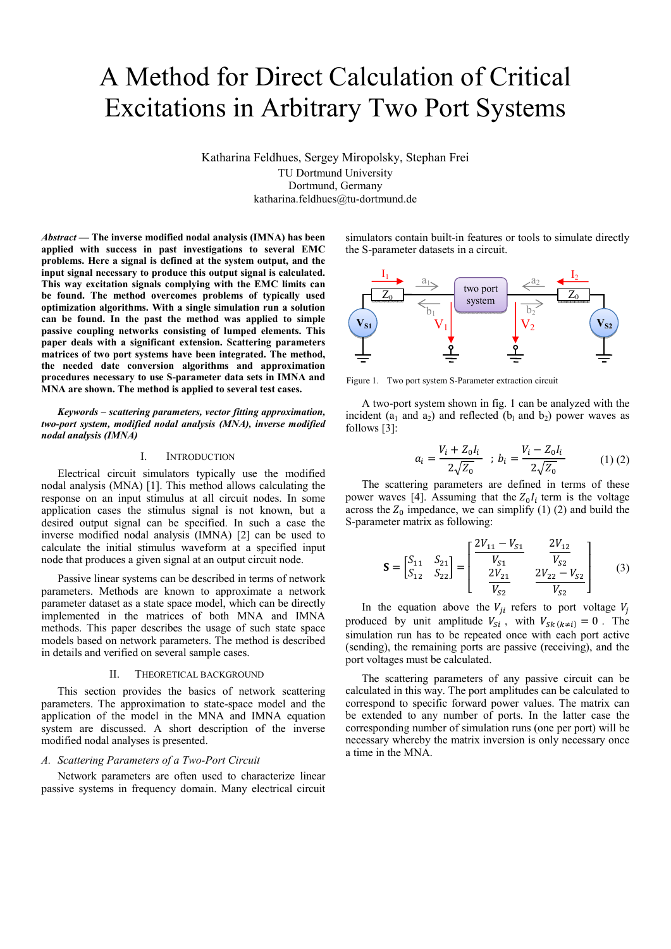# A Method for Direct Calculation of Critical Excitations in Arbitrary Two Port Systems

Katharina Feldhues, Sergey Miropolsky, Stephan Frei TU Dortmund University Dortmund, Germany katharina.feldhues@tu-dortmund.de

*Abstract* **— The inverse modified nodal analysis (IMNA) has been applied with success in past investigations to several EMC problems. Here a signal is defined at the system output, and the input signal necessary to produce this output signal is calculated. This way excitation signals complying with the EMC limits can be found. The method overcomes problems of typically used optimization algorithms. With a single simulation run a solution can be found. In the past the method was applied to simple passive coupling networks consisting of lumped elements. This paper deals with a significant extension. Scattering parameters matrices of two port systems have been integrated. The method, the needed date conversion algorithms and approximation procedures necessary to use S-parameter data sets in IMNA and MNA are shown. The method is applied to several test cases.** 

*Keywords – scattering parameters, vector fitting approximation, two-port system, modified nodal analysis (MNA), inverse modified nodal analysis (IMNA)* 

#### I. INTRODUCTION

Electrical circuit simulators typically use the modified nodal analysis (MNA) [1]. This method allows calculating the response on an input stimulus at all circuit nodes. In some application cases the stimulus signal is not known, but a desired output signal can be specified. In such a case the inverse modified nodal analysis (IMNA) [2] can be used to calculate the initial stimulus waveform at a specified input node that produces a given signal at an output circuit node.

Passive linear systems can be described in terms of network parameters. Methods are known to approximate a network parameter dataset as a state space model, which can be directly implemented in the matrices of both MNA and IMNA methods. This paper describes the usage of such state space models based on network parameters. The method is described in details and verified on several sample cases.

## II. THEORETICAL BACKGROUND

This section provides the basics of network scattering parameters. The approximation to state-space model and the application of the model in the MNA and IMNA equation system are discussed. A short description of the inverse modified nodal analyses is presented.

## *A. Scattering Parameters of a Two-Port Circuit*

Network parameters are often used to characterize linear passive systems in frequency domain. Many electrical circuit simulators contain built-in features or tools to simulate directly the S-parameter datasets in a circuit.



Figure 1. Two port system S-Parameter extraction circuit

A two-port system shown in fig. 1 can be analyzed with the incident ( $a_1$  and  $a_2$ ) and reflected ( $b_1$  and  $b_2$ ) power waves as follows [3]:

$$
a_i = \frac{V_i + Z_0 I_i}{2\sqrt{Z_0}} \; ; \; b_i = \frac{V_i - Z_0 I_i}{2\sqrt{Z_0}} \tag{1\} (2)
$$

The scattering parameters are defined in terms of these power waves [4]. Assuming that the  $Z_0I_i$  term is the voltage across the  $Z_0$  impedance, we can simplify (1) (2) and build the S-parameter matrix as following:

$$
\mathbf{S} = \begin{bmatrix} S_{11} & S_{21} \\ S_{12} & S_{22} \end{bmatrix} = \begin{bmatrix} \frac{2V_{11} - V_{S1}}{V_{S1}} & \frac{2V_{12}}{V_{S2}} \\ \frac{2V_{21}}{V_{S2}} & \frac{2V_{22} - V_{S2}}{V_{S2}} \end{bmatrix} \tag{3}
$$

In the equation above the  $V_{ji}$  refers to port voltage  $V_j$ produced by unit amplitude  $V_{Si}$ , with  $V_{Sk}(k \neq i) = 0$ . The simulation run has to be repeated once with each port active (sending), the remaining ports are passive (receiving), and the port voltages must be calculated.

The scattering parameters of any passive circuit can be calculated in this way. The port amplitudes can be calculated to correspond to specific forward power values. The matrix can be extended to any number of ports. In the latter case the corresponding number of simulation runs (one per port) will be necessary whereby the matrix inversion is only necessary once a time in the MNA.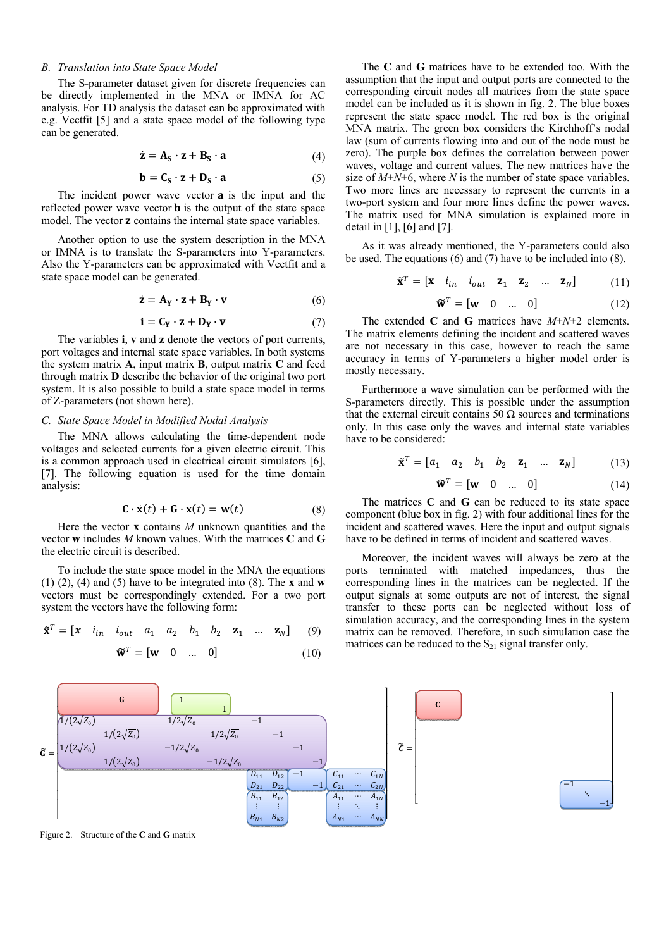## *B. Translation into State Space Model*

The S-parameter dataset given for discrete frequencies can be directly implemented in the MNA or IMNA for AC analysis. For TD analysis the dataset can be approximated with e.g. Vectfit [5] and a state space model of the following type can be generated.

$$
\dot{\mathbf{z}} = \mathbf{A}_{\mathbf{S}} \cdot \mathbf{z} + \mathbf{B}_{\mathbf{S}} \cdot \mathbf{a} \tag{4}
$$

$$
\mathbf{b} = \mathbf{C}_{\mathbf{S}} \cdot \mathbf{z} + \mathbf{D}_{\mathbf{S}} \cdot \mathbf{a}
$$
 (5)

The incident power wave vector **a** is the input and the reflected power wave vector  $\mathbf b$  is the output of the state space model. The vector **z** contains the internal state space variables.

Another option to use the system description in the MNA or IMNA is to translate the S-parameters into Y-parameters. Also the Y-parameters can be approximated with Vectfit and a state space model can be generated.

$$
\dot{\mathbf{z}} = \mathbf{A}_{\mathbf{Y}} \cdot \mathbf{z} + \mathbf{B}_{\mathbf{Y}} \cdot \mathbf{v}
$$
 (6)

$$
\mathbf{i} = \mathbf{C}_{\mathbf{Y}} \cdot \mathbf{z} + \mathbf{D}_{\mathbf{Y}} \cdot \mathbf{v} \tag{7}
$$

The variables **i**, **v** and **z** denote the vectors of port currents, port voltages and internal state space variables. In both systems the system matrix **A**, input matrix **B**, output matrix **C** and feed through matrix **D** describe the behavior of the original two port system. It is also possible to build a state space model in terms of Z-parameters (not shown here).

#### *C. State Space Model in Modified Nodal Analysis*

The MNA allows calculating the time-dependent node voltages and selected currents for a given electric circuit. This is a common approach used in electrical circuit simulators [6], [7]. The following equation is used for the time domain analysis:

$$
\mathbf{C} \cdot \dot{\mathbf{x}}(t) + \mathbf{G} \cdot \mathbf{x}(t) = \mathbf{w}(t) \tag{8}
$$

Here the vector **x** contains *M* unknown quantities and the vector **w** includes *M* known values. With the matrices **C** and **G** the electric circuit is described.

To include the state space model in the MNA the equations (1) (2), (4) and (5) have to be integrated into (8). The **x** and **w** vectors must be correspondingly extended. For a two port system the vectors have the following form:

$$
\tilde{\mathbf{x}}^T = \begin{bmatrix} x & i_{in} & i_{out} & a_1 & a_2 & b_1 & b_2 & \mathbf{z}_1 & \dots & \mathbf{z}_N \end{bmatrix} \tag{9}
$$

$$
\tilde{\mathbf{w}}^T = \begin{bmatrix} \mathbf{w} & 0 & \dots & 0 \end{bmatrix} \tag{10}
$$

The **C** and **G** matrices have to be extended too. With the assumption that the input and output ports are connected to the corresponding circuit nodes all matrices from the state space model can be included as it is shown in fig. 2. The blue boxes represent the state space model. The red box is the original MNA matrix. The green box considers the Kirchhoff's nodal law (sum of currents flowing into and out of the node must be zero). The purple box defines the correlation between power waves, voltage and current values. The new matrices have the size of  $M+N+6$ , where *N* is the number of state space variables. Two more lines are necessary to represent the currents in a two-port system and four more lines define the power waves. The matrix used for MNA simulation is explained more in detail in [1], [6] and [7].

As it was already mentioned, the Y-parameters could also be used. The equations (6) and (7) have to be included into (8).

$$
\tilde{\mathbf{x}}^T = \begin{bmatrix} \mathbf{x} & i_{in} & i_{out} & \mathbf{z}_1 & \mathbf{z}_2 & \dots & \mathbf{z}_N \end{bmatrix} \tag{11}
$$

$$
\widetilde{\mathbf{w}}^T = [\mathbf{w} \quad 0 \quad \dots \quad 0] \tag{12}
$$

The extended **C** and **G** matrices have *M*+*N*+2 elements. The matrix elements defining the incident and scattered waves are not necessary in this case, however to reach the same accuracy in terms of Y-parameters a higher model order is mostly necessary.

Furthermore a wave simulation can be performed with the S-parameters directly. This is possible under the assumption that the external circuit contains 50 Ω sources and terminations only. In this case only the waves and internal state variables have to be considered:

$$
\tilde{\mathbf{x}}^T = \begin{bmatrix} a_1 & a_2 & b_1 & b_2 & \mathbf{z}_1 & \dots & \mathbf{z}_N \end{bmatrix} \tag{13}
$$

$$
\widetilde{\mathbf{w}}^T = [\mathbf{w} \quad 0 \quad \dots \quad 0] \tag{14}
$$

The matrices **C** and **G** can be reduced to its state space component (blue box in fig. 2) with four additional lines for the incident and scattered waves. Here the input and output signals have to be defined in terms of incident and scattered waves.

Moreover, the incident waves will always be zero at the ports terminated with matched impedances, thus the corresponding lines in the matrices can be neglected. If the output signals at some outputs are not of interest, the signal transfer to these ports can be neglected without loss of simulation accuracy, and the corresponding lines in the system matrix can be removed. Therefore, in such simulation case the matrices can be reduced to the  $S_{21}$  signal transfer only.



Figure 2. Structure of the **C** and **G** matrix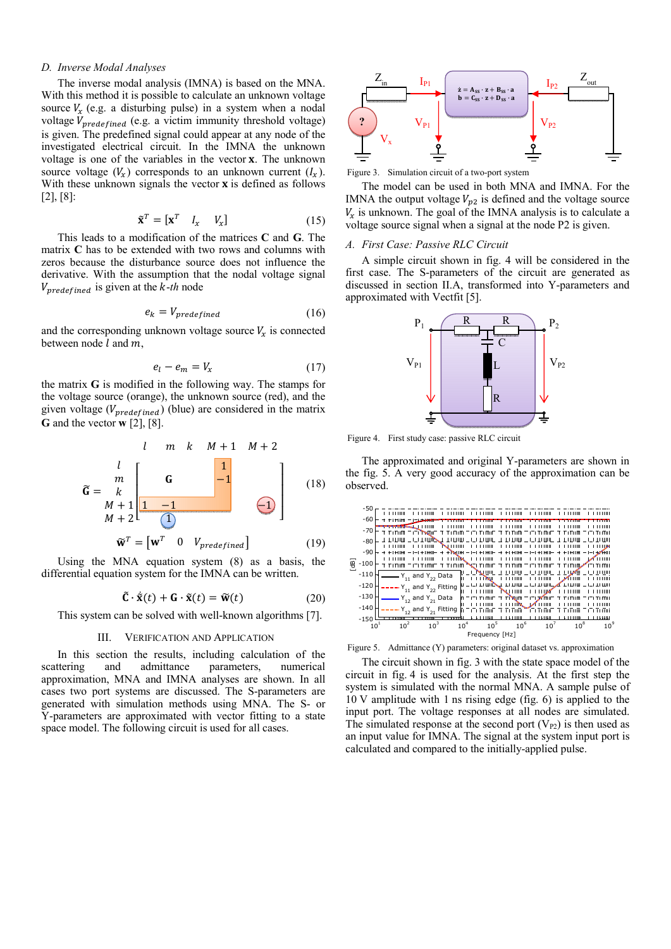## *D. Inverse Modal Analyses*

The inverse modal analysis (IMNA) is based on the MNA. With this method it is possible to calculate an unknown voltage source  $V_x$  (e.g. a disturbing pulse) in a system when a nodal voltage  $V_{predefined}$  (e.g. a victim immunity threshold voltage) is given. The predefined signal could appear at any node of the investigated electrical circuit. In the IMNA the unknown voltage is one of the variables in the vector **x**. The unknown source voltage  $(V_x)$  corresponds to an unknown current  $(I_x)$ . With these unknown signals the vector  $\bf{x}$  is defined as follows [2], [8]:

$$
\tilde{\mathbf{x}}^T = [\mathbf{x}^T \quad I_x \quad V_x] \tag{15}
$$

This leads to a modification of the matrices **C** and **G**. The matrix **C** has to be extended with two rows and columns with zeros because the disturbance source does not influence the derivative. With the assumption that the nodal voltage signal  $V_{\text{predefined}}$  is given at the *k*-*th* node

$$
e_k = V_{predefined} \tag{16}
$$

and the corresponding unknown voltage source  $V<sub>x</sub>$  is connected between node  $l$  and  $m$ ,

$$
e_l - e_m = V_x \tag{17}
$$

the matrix **G** is modified in the following way. The stamps for the voltage source (orange), the unknown source (red), and the given voltage ( $V_{predefined}$ ) (blue) are considered in the matrix **G** and the vector **w** [2], [8].



Using the MNA equation system (8) as a basis, the differential equation system for the IMNA can be written.

$$
\tilde{\mathbf{C}} \cdot \dot{\tilde{\mathbf{x}}}(t) + \mathbf{G} \cdot \tilde{\mathbf{x}}(t) = \tilde{\mathbf{w}}(t)
$$
 (20)

This system can be solved with well-known algorithms [7].

#### III. VERIFICATION AND APPLICATION

In this section the results, including calculation of the scattering and admittance parameters, numerical approximation, MNA and IMNA analyses are shown. In all cases two port systems are discussed. The S-parameters are generated with simulation methods using MNA. The S- or Y-parameters are approximated with vector fitting to a state space model. The following circuit is used for all cases.



Figure 3. Simulation circuit of a two-port system

The model can be used in both MNA and IMNA. For the IMNA the output voltage  $V_{p2}$  is defined and the voltage source  $V_x$  is unknown. The goal of the IMNA analysis is to calculate a voltage source signal when a signal at the node P2 is given.

## *A. First Case: Passive RLC Circuit*

A simple circuit shown in fig. 4 will be considered in the first case. The S-parameters of the circuit are generated as discussed in section II.A, transformed into Y-parameters and approximated with Vectfit [5].



Figure 4. First study case: passive RLC circuit

The approximated and original Y-parameters are shown in the fig. 5. A very good accuracy of the approximation can be observed.



Figure 5. Admittance (Y) parameters: original dataset vs. approximation

The circuit shown in fig. 3 with the state space model of the circuit in fig. 4 is used for the analysis. At the first step the system is simulated with the normal MNA. A sample pulse of 10 V amplitude with 1 ns rising edge (fig. 6) is applied to the input port. The voltage responses at all nodes are simulated. The simulated response at the second port  $(V_{P2})$  is then used as an input value for IMNA. The signal at the system input port is calculated and compared to the initially-applied pulse.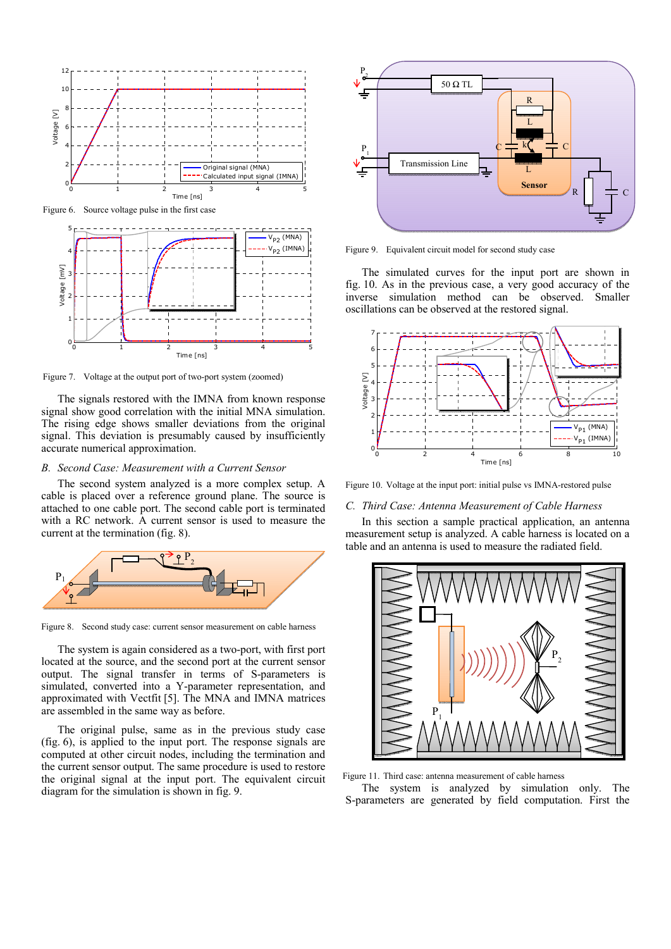

Figure 6. Source voltage pulse in the first case



Figure 7. Voltage at the output port of two-port system (zoomed)

The signals restored with the IMNA from known response signal show good correlation with the initial MNA simulation. The rising edge shows smaller deviations from the original signal. This deviation is presumably caused by insufficiently accurate numerical approximation.

## *B. Second Case: Measurement with a Current Sensor*

The second system analyzed is a more complex setup. A cable is placed over a reference ground plane. The source is attached to one cable port. The second cable port is terminated with a RC network. A current sensor is used to measure the current at the termination (fig. 8).



Figure 8. Second study case: current sensor measurement on cable harness

The system is again considered as a two-port, with first port located at the source, and the second port at the current sensor output. The signal transfer in terms of S-parameters is simulated, converted into a Y-parameter representation, and approximated with Vectfit [5]. The MNA and IMNA matrices are assembled in the same way as before.

The original pulse, same as in the previous study case (fig. 6), is applied to the input port. The response signals are computed at other circuit nodes, including the termination and the current sensor output. The same procedure is used to restore the original signal at the input port. The equivalent circuit diagram for the simulation is shown in fig. 9.



Figure 9. Equivalent circuit model for second study case

The simulated curves for the input port are shown in fig. 10. As in the previous case, a very good accuracy of the inverse simulation method can be observed. Smaller oscillations can be observed at the restored signal.



Figure 10. Voltage at the input port: initial pulse vs IMNA-restored pulse

## *C. Third Case: Antenna Measurement of Cable Harness*

In this section a sample practical application, an antenna measurement setup is analyzed. A cable harness is located on a table and an antenna is used to measure the radiated field.



Figure 11. Third case: antenna measurement of cable harness The system is analyzed by simulation only. The S-parameters are generated by field computation. First the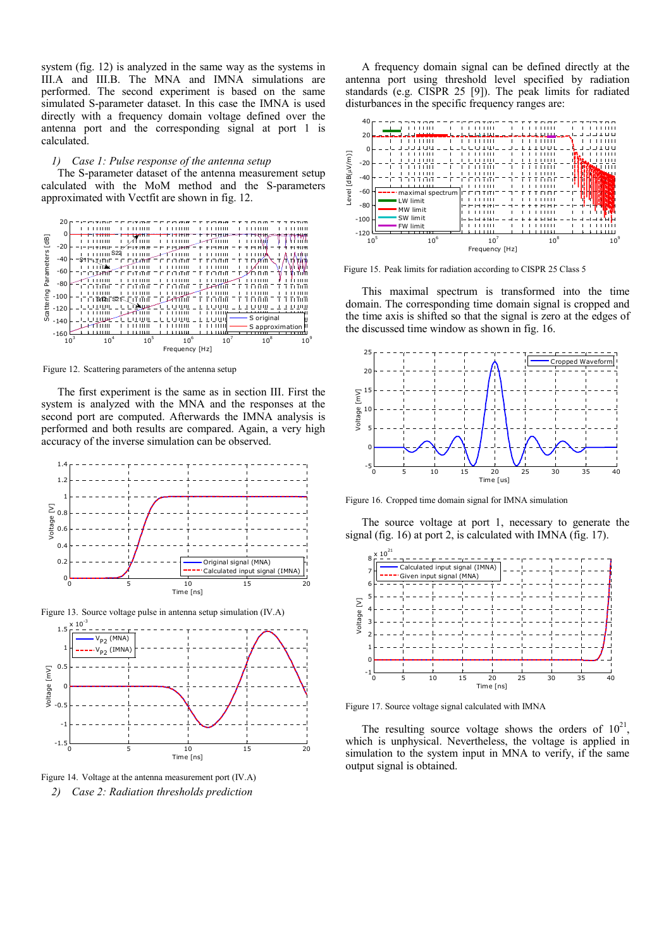system (fig. 12) is analyzed in the same way as the systems in III.A and III.B. The MNA and IMNA simulations are performed. The second experiment is based on the same simulated S-parameter dataset. In this case the IMNA is used directly with a frequency domain voltage defined over the antenna port and the corresponding signal at port 1 is calculated.

#### *1) Case 1: Pulse response of the antenna setup*

The S-parameter dataset of the antenna measurement setup calculated with the MoM method and the S-parameters approximated with Vectfit are shown in fig. 12.



Figure 12. Scattering parameters of the antenna setup

The first experiment is the same as in section III. First the system is analyzed with the MNA and the responses at the second port are computed. Afterwards the IMNA analysis is performed and both results are compared. Again, a very high accuracy of the inverse simulation can be observed.





Figure 14. Voltage at the antenna measurement port (IV.A) *2) Case 2: Radiation thresholds prediction* 

A frequency domain signal can be defined directly at the antenna port using threshold level specified by radiation standards (e.g. CISPR 25 [9]). The peak limits for radiated disturbances in the specific frequency ranges are:



Figure 15. Peak limits for radiation according to CISPR 25 Class 5

This maximal spectrum is transformed into the time domain. The corresponding time domain signal is cropped and the time axis is shifted so that the signal is zero at the edges of the discussed time window as shown in fig. 16.



Figure 16. Cropped time domain signal for IMNA simulation

The source voltage at port 1, necessary to generate the signal (fig. 16) at port 2, is calculated with IMNA (fig. 17).



Figure 17. Source voltage signal calculated with IMNA

The resulting source voltage shows the orders of  $10^{21}$ . which is unphysical. Nevertheless, the voltage is applied in simulation to the system input in MNA to verify, if the same output signal is obtained.